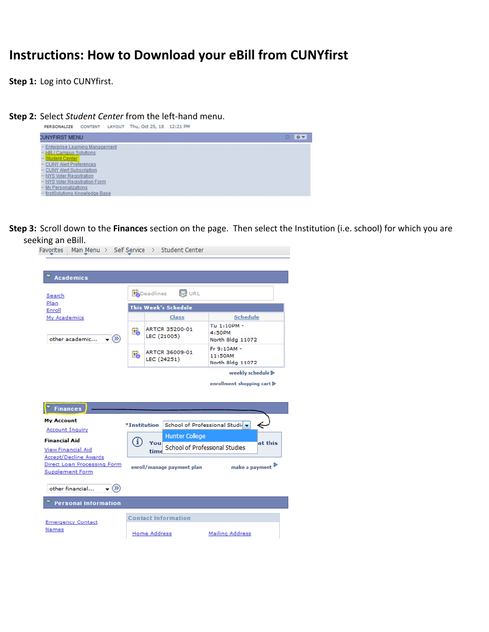## **Instructions: How to Download your eBill from CUNYfirst**

**Step 1:** Log into CUNYfirst.

**Step 2:** Select *Student Center* from the left-hand menu.<br>**PERSONALIZE** CONTENT LAYOUT Thu, Oct 25, 18 12:21 PM



**Step 3:** Scroll down to the **Finances** section on the page. Then select the Institution (i.e. school) for which you are

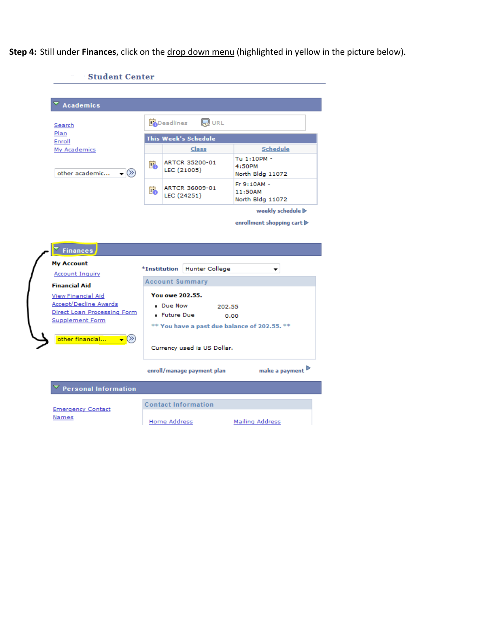**Step 4:** Still under **Finances**, click on the drop down menu (highlighted in yellow in the picture below).

| <b>Student Center</b>                                                                                                                                                                             |    |                                                                                                          |                                            |
|---------------------------------------------------------------------------------------------------------------------------------------------------------------------------------------------------|----|----------------------------------------------------------------------------------------------------------|--------------------------------------------|
| <b>Academics</b>                                                                                                                                                                                  |    |                                                                                                          |                                            |
| Search                                                                                                                                                                                            |    | <b>R</b> URL<br><b>Bo</b> Deadlines                                                                      |                                            |
| Plan<br>Enroll                                                                                                                                                                                    |    | This Week's Schedule                                                                                     |                                            |
| My Academics                                                                                                                                                                                      |    | Class                                                                                                    | <b>Schedule</b>                            |
| $\mathbf{P}(\mathbf{X})$<br>other academic                                                                                                                                                        | E. | ARTCR 35200-01<br>LEC (21005)                                                                            | Tu 1:10PM -<br>4:50PM<br>North Bldg 11072  |
|                                                                                                                                                                                                   | F. | ARTCR 36009-01<br>LEC (24251)                                                                            | Fr 9:10AM -<br>11:50AM<br>North Bldg 11072 |
|                                                                                                                                                                                                   |    |                                                                                                          |                                            |
| $\overline{\phantom{a}}$ Finances                                                                                                                                                                 |    |                                                                                                          |                                            |
| <b>Account Inquiry</b>                                                                                                                                                                            |    | *Institution<br><b>Hunter College</b>                                                                    |                                            |
|                                                                                                                                                                                                   |    | <b>Account Summary</b>                                                                                   |                                            |
|                                                                                                                                                                                                   |    | <b>You owe 202.55.</b><br>. Due Now<br><b>Future Due</b><br>** You have a past due balance of 202.55. ** | 202.55<br>0.00                             |
| <b>My Account</b><br><b>Financial Aid</b><br>View Financial Aid<br><b>Accept/Decline Awards</b><br>Direct Loan Processing Form<br><b>Supplement Form</b><br>other financial<br>$\mathbf{V}^{(2)}$ |    | Currency used is US Dollar.                                                                              | enrollment shopping cart D                 |
|                                                                                                                                                                                                   |    | enroll/manage payment plan                                                                               |                                            |
| <b>Personal Information</b>                                                                                                                                                                       |    |                                                                                                          | make a payment                             |
| <b>Emergency Contact</b>                                                                                                                                                                          |    | <b>Contact Information</b>                                                                               |                                            |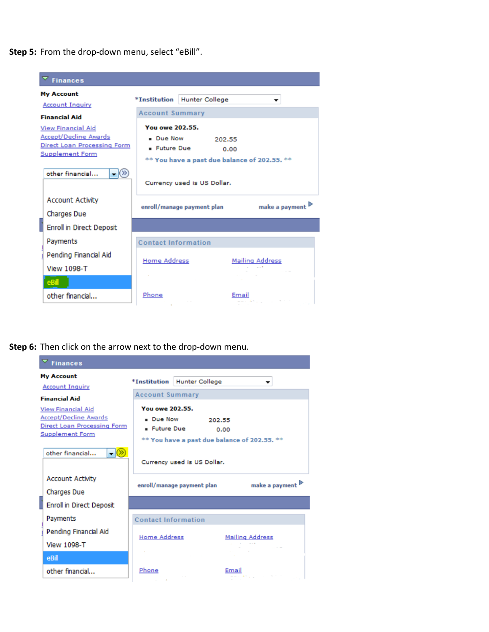**Step 5:** From the drop-down menu, select "eBill".



## **Step 6:** Then click on the arrow next to the drop-down menu.